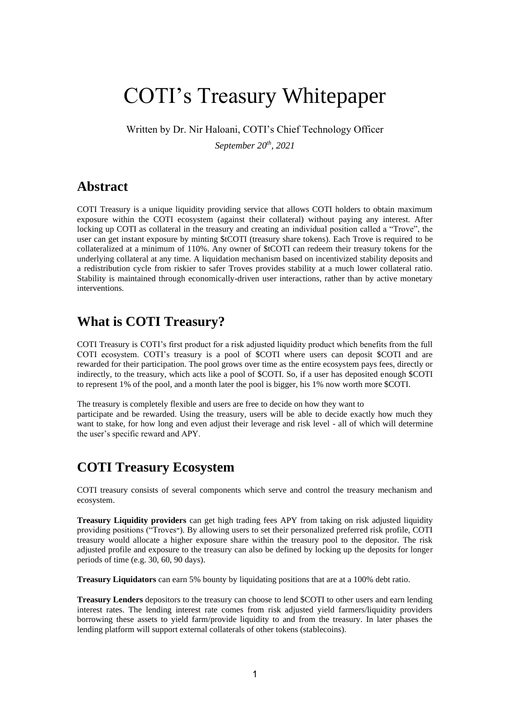# COTI's Treasury Whitepaper

Written by Dr. Nir Haloani, COTI's Chief Technology Officer

*September 20th, 2021*

### **Abstract**

COTI Treasury is a unique liquidity providing service that allows COTI holders to obtain maximum exposure within the COTI ecosystem (against their collateral) without paying any interest. After locking up COTI as collateral in the treasury and creating an individual position called a "Trove", the user can get instant exposure by minting \$tCOTI (treasury share tokens). Each Trove is required to be collateralized at a minimum of 110%. Any owner of \$tCOTI can redeem their treasury tokens for the underlying collateral at any time. A liquidation mechanism based on incentivized stability deposits and a redistribution cycle from riskier to safer Troves provides stability at a much lower collateral ratio. Stability is maintained through economically-driven user interactions, rather than by active monetary interventions.

### **What is COTI Treasury?**

COTI Treasury is COTI's first product for a risk adjusted liquidity product which benefits from the full COTI ecosystem. COTI's treasury is a pool of \$COTI where users can deposit \$COTI and are rewarded for their participation. The pool grows over time as the entire ecosystem pays fees, directly or indirectly, to the treasury, which acts like a pool of \$COTI. So, if a user has deposited enough \$COTI to represent 1% of the pool, and a month later the pool is bigger, his 1% now worth more \$COTI.

The treasury is completely flexible and users are free to decide on how they want to participate and be rewarded. Using the treasury, users will be able to decide exactly how much they want to stake, for how long and even adjust their leverage and risk level - all of which will determine the user's specific reward and APY.

### **COTI Treasury Ecosystem**

COTI treasury consists of several components which serve and control the treasury mechanism and ecosystem.

**Treasury Liquidity providers** can get high trading fees APY from taking on risk adjusted liquidity providing positions ("Troves"). By allowing users to set their personalized preferred risk profile, COTI treasury would allocate a higher exposure share within the treasury pool to the depositor. The risk adjusted profile and exposure to the treasury can also be defined by locking up the deposits for longer periods of time (e.g. 30, 60, 90 days).

**Treasury Liquidators** can earn 5% bounty by liquidating positions that are at a 100% debt ratio.

**Treasury Lenders** depositors to the treasury can choose to lend \$COTI to other users and earn lending interest rates. The lending interest rate comes from risk adjusted yield farmers/liquidity providers borrowing these assets to yield farm/provide liquidity to and from the treasury. In later phases the lending platform will support external collaterals of other tokens (stablecoins).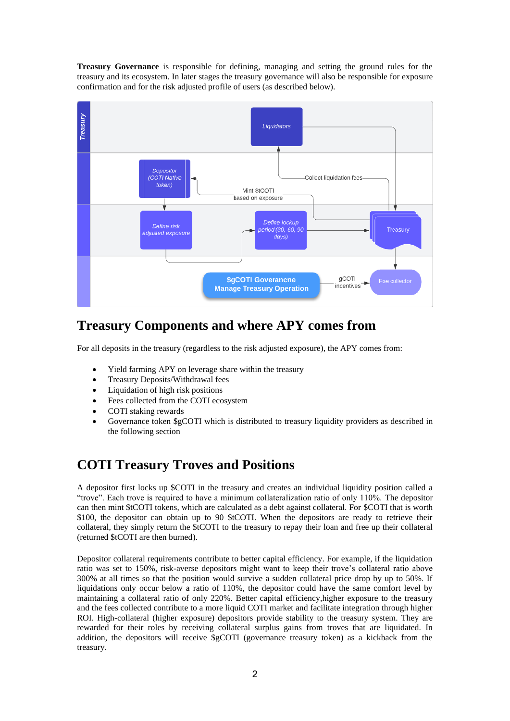**Treasury Governance** is responsible for defining, managing and setting the ground rules for the treasury and its ecosystem. In later stages the treasury governance will also be responsible for exposure confirmation and for the risk adjusted profile of users (as described below).



## **Treasury Components and where APY comes from**

For all deposits in the treasury (regardless to the risk adjusted exposure), the APY comes from:

- Yield farming APY on leverage share within the treasury
- Treasury Deposits/Withdrawal fees
- Liquidation of high risk positions
- Fees collected from the COTI ecosystem
- COTI staking rewards
- Governance token \$gCOTI which is distributed to treasury liquidity providers as described in the following section

### **COTI Treasury Troves and Positions**

A depositor first locks up \$COTI in the treasury and creates an individual liquidity position called a "trove". Each trove is required to have a minimum collateralization ratio of only 110%. The depositor can then mint \$tCOTI tokens, which are calculated as a debt against collateral. For \$COTI that is worth \$100, the depositor can obtain up to 90 \$tCOTI. When the depositors are ready to retrieve their collateral, they simply return the \$tCOTI to the treasury to repay their loan and free up their collateral (returned \$tCOTI are then burned).

Depositor collateral requirements contribute to better capital efficiency. For example, if the liquidation ratio was set to 150%, risk-averse depositors might want to keep their trove's collateral ratio above 300% at all times so that the position would survive a sudden collateral price drop by up to 50%. If liquidations only occur below a ratio of 110%, the depositor could have the same comfort level by maintaining a collateral ratio of only 220%. Better capital efficiency,higher exposure to the treasury and the fees collected contribute to a more liquid COTI market and facilitate integration through higher ROI. High-collateral (higher exposure) depositors provide stability to the treasury system. They are rewarded for their roles by receiving collateral surplus gains from troves that are liquidated. In addition, the depositors will receive \$gCOTI (governance treasury token) as a kickback from the treasury.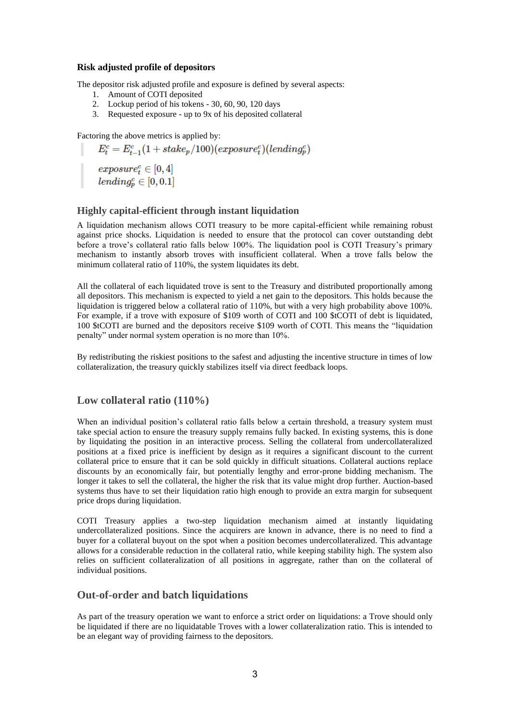#### **Risk adjusted profile of depositors**

The depositor risk adjusted profile and exposure is defined by several aspects:

- 1. Amount of COTI deposited
- 2. Lockup period of his tokens 30, 60, 90, 120 days
- 3. Requested exposure up to 9x of his deposited collateral

Factoring the above metrics is applied by:

 $E_t^c = E_{t-1}^c(1 + \text{stake}_p/100)(\text{exposure}_t^c)(\text{lending}_p^c)$  $\begin{array}{|c|} \hline \quad \quad \quad \textit{exposure}^c_t \in [0,4] \ \quad \quad \quad \textit{lending}^c_p \in [0,0.1] \hline \end{array}$ 

#### **Highly capital-efficient through instant liquidation**

A liquidation mechanism allows COTI treasury to be more capital-efficient while remaining robust against price shocks. Liquidation is needed to ensure that the protocol can cover outstanding debt before a trove's collateral ratio falls below 100%. The liquidation pool is COTI Treasury's primary mechanism to instantly absorb troves with insufficient collateral. When a trove falls below the minimum collateral ratio of 110%, the system liquidates its debt.

All the collateral of each liquidated trove is sent to the Treasury and distributed proportionally among all depositors. This mechanism is expected to yield a net gain to the depositors. This holds because the liquidation is triggered below a collateral ratio of 110%, but with a very high probability above 100%. For example, if a trove with exposure of \$109 worth of COTI and 100 \$tCOTI of debt is liquidated, 100 \$tCOTI are burned and the depositors receive \$109 worth of COTI. This means the "liquidation penalty" under normal system operation is no more than 10%.

By redistributing the riskiest positions to the safest and adjusting the incentive structure in times of low collateralization, the treasury quickly stabilizes itself via direct feedback loops.

#### **Low collateral ratio (110%)**

When an individual position's collateral ratio falls below a certain threshold, a treasury system must take special action to ensure the treasury supply remains fully backed. In existing systems, this is done by liquidating the position in an interactive process. Selling the collateral from undercollateralized positions at a fixed price is inefficient by design as it requires a significant discount to the current collateral price to ensure that it can be sold quickly in difficult situations. Collateral auctions replace discounts by an economically fair, but potentially lengthy and error-prone bidding mechanism. The longer it takes to sell the collateral, the higher the risk that its value might drop further. Auction-based systems thus have to set their liquidation ratio high enough to provide an extra margin for subsequent price drops during liquidation.

COTI Treasury applies a two-step liquidation mechanism aimed at instantly liquidating undercollateralized positions. Since the acquirers are known in advance, there is no need to find a buyer for a collateral buyout on the spot when a position becomes undercollateralized. This advantage allows for a considerable reduction in the collateral ratio, while keeping stability high. The system also relies on sufficient collateralization of all positions in aggregate, rather than on the collateral of individual positions.

#### **Out-of-order and batch liquidations**

As part of the treasury operation we want to enforce a strict order on liquidations: a Trove should only be liquidated if there are no liquidatable Troves with a lower collateralization ratio. This is intended to be an elegant way of providing fairness to the depositors.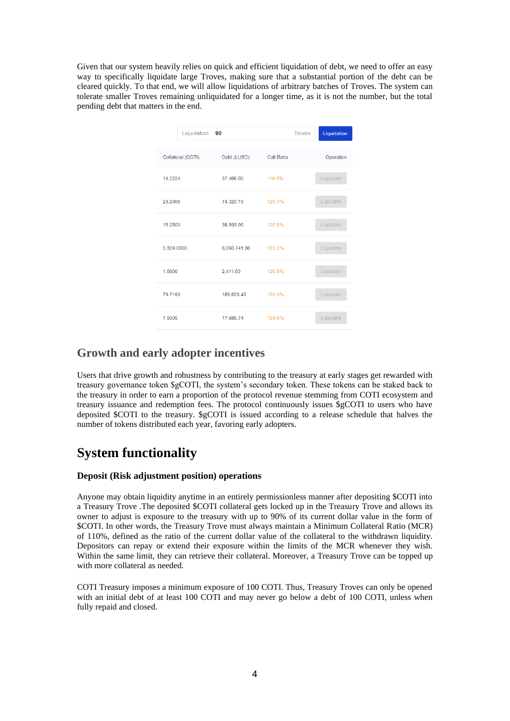Given that our system heavily relies on quick and efficient liquidation of debt, we need to offer an easy way to specifically liquidate large Troves, making sure that a substantial portion of the debt can be cleared quickly. To that end, we will allow liquidations of arbitrary batches of Troves. The system can tolerate smaller Troves remaining unliquidated for a longer time, as it is not the number, but the total pending debt that matters in the end.

| Liquidation       | 90           | <b>Troves</b> | Liquidation |
|-------------------|--------------|---------------|-------------|
| Collateral (COTI) | Debt (LUSD)  | Coll Ratio    | Operation   |
| 14.2224           | 37,466.00    | 116.0%        | Liquidate   |
| 29,2000           | 74,320.19    | 120.1%        | Liquidate   |
| 15.2503           | 38,599.90    | 120.8%        | Liquidate   |
| 3,329.0000        | 8,260,741.36 | 123.2%        | Liquidate   |
| 1.0000            | 2,411.00     | 126.8%        | Liquidate   |
| 79.7163           | 189,653.45   | 128.5%        | Liquidate   |
| 7 5000            | 17,686.74    | 129.6%        | Liquidate   |

### **Growth and early adopter incentives**

Users that drive growth and robustness by contributing to the treasury at early stages get rewarded with treasury governance token \$gCOTI, the system's secondary token. These tokens can be staked back to the treasury in order to earn a proportion of the protocol revenue stemming from COTI ecosystem and treasury issuance and redemption fees. The protocol continuously issues \$gCOTI to users who have deposited \$COTI to the treasury. \$gCOTI is issued according to a release schedule that halves the number of tokens distributed each year, favoring early adopters.

### **System functionality**

#### **Deposit (Risk adjustment position) operations**

Anyone may obtain liquidity anytime in an entirely permissionless manner after depositing \$COTI into a Treasury Trove .The deposited \$COTI collateral gets locked up in the Treasury Trove and allows its owner to adjust is exposure to the treasury with up to 90% of its current dollar value in the form of \$COTI. In other words, the Treasury Trove must always maintain a Minimum Collateral Ratio (MCR) of 110%, defined as the ratio of the current dollar value of the collateral to the withdrawn liquidity. Depositors can repay or extend their exposure within the limits of the MCR whenever they wish. Within the same limit, they can retrieve their collateral. Moreover, a Treasury Trove can be topped up with more collateral as needed.

COTI Treasury imposes a minimum exposure of 100 COTI. Thus, Treasury Troves can only be opened with an initial debt of at least 100 COTI and may never go below a debt of 100 COTI, unless when fully repaid and closed.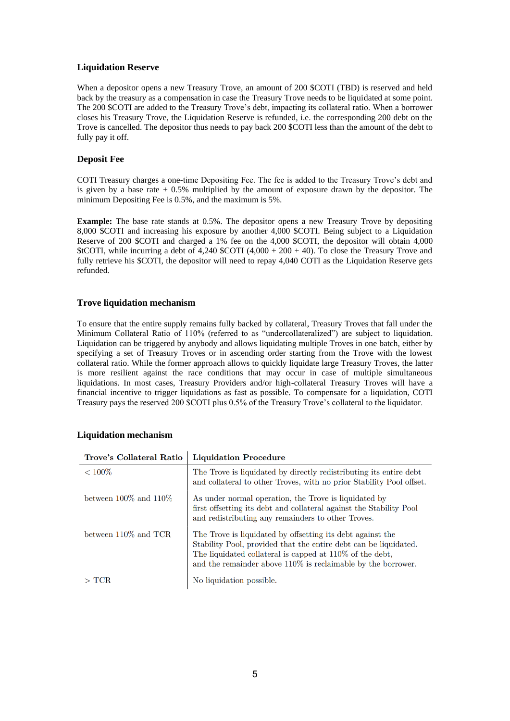#### **Liquidation Reserve**

When a depositor opens a new Treasury Trove, an amount of 200 \$COTI (TBD) is reserved and held back by the treasury as a compensation in case the Treasury Trove needs to be liquidated at some point. The 200 \$COTI are added to the Treasury Trove's debt, impacting its collateral ratio. When a borrower closes his Treasury Trove, the Liquidation Reserve is refunded, i.e. the corresponding 200 debt on the Trove is cancelled. The depositor thus needs to pay back 200 \$COTI less than the amount of the debt to fully pay it off.

#### **Deposit Fee**

COTI Treasury charges a one-time Depositing Fee. The fee is added to the Treasury Trove's debt and is given by a base rate  $+0.5\%$  multiplied by the amount of exposure drawn by the depositor. The minimum Depositing Fee is 0.5%, and the maximum is 5%.

**Example:** The base rate stands at 0.5%. The depositor opens a new Treasury Trove by depositing 8,000 \$COTI and increasing his exposure by another 4,000 \$COTI. Being subject to a Liquidation Reserve of 200 \$COTI and charged a 1% fee on the 4,000 \$COTI, the depositor will obtain 4,000 \$tCOTI, while incurring a debt of 4,240 \$COTI  $(4,000 + 200 + 40)$ . To close the Treasury Trove and fully retrieve his \$COTI, the depositor will need to repay 4,040 COTI as the Liquidation Reserve gets refunded.

#### **Trove liquidation mechanism**

To ensure that the entire supply remains fully backed by collateral, Treasury Troves that fall under the Minimum Collateral Ratio of 110% (referred to as "undercollateralized") are subject to liquidation. Liquidation can be triggered by anybody and allows liquidating multiple Troves in one batch, either by specifying a set of Treasury Troves or in ascending order starting from the Trove with the lowest collateral ratio. While the former approach allows to quickly liquidate large Treasury Troves, the latter is more resilient against the race conditions that may occur in case of multiple simultaneous liquidations. In most cases, Treasury Providers and/or high-collateral Treasury Troves will have a financial incentive to trigger liquidations as fast as possible. To compensate for a liquidation, COTI Treasury pays the reserved 200 \$COTI plus 0.5% of the Treasury Trove's collateral to the liquidator.

| Trove's Collateral Ratio    | <b>Liquidation Procedure</b>                                                                                                                                                                                                                                   |
|-----------------------------|----------------------------------------------------------------------------------------------------------------------------------------------------------------------------------------------------------------------------------------------------------------|
| $< 100\%$                   | The Trove is liquidated by directly redistributing its entire debt<br>and collateral to other Troves, with no prior Stability Pool offset.                                                                                                                     |
| between $100\%$ and $110\%$ | As under normal operation, the Trove is liquidated by<br>first offsetting its debt and collateral against the Stability Pool<br>and redistributing any remainders to other Troves.                                                                             |
| between 110\% and TCR       | The Trove is liquidated by offsetting its debt against the<br>Stability Pool, provided that the entire debt can be liquidated.<br>The liquidated collateral is capped at 110\% of the debt,<br>and the remainder above $110\%$ is reclaimable by the borrower. |
| $\rm > TCR$                 | No liquidation possible.                                                                                                                                                                                                                                       |

#### **Liquidation mechanism**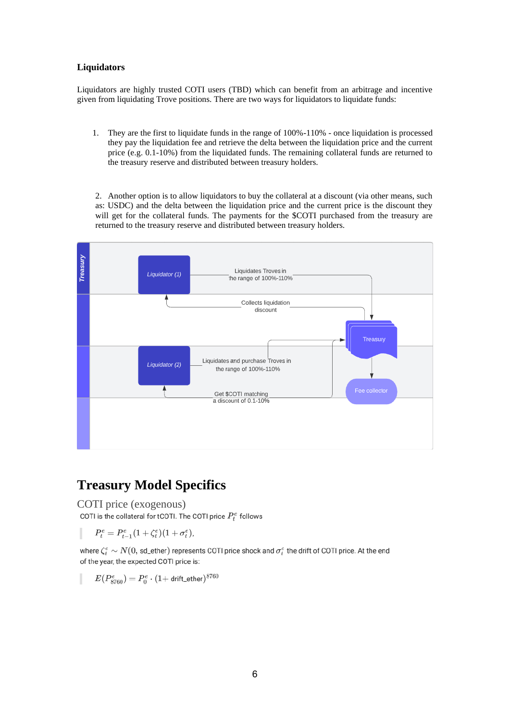#### **Liquidators**

Liquidators are highly trusted COTI users (TBD) which can benefit from an arbitrage and incentive given from liquidating Trove positions. There are two ways for liquidators to liquidate funds:

1. They are the first to liquidate funds in the range of 100%-110% - once liquidation is processed they pay the liquidation fee and retrieve the delta between the liquidation price and the current price (e.g. 0.1-10%) from the liquidated funds. The remaining collateral funds are returned to the treasury reserve and distributed between treasury holders.

2. Another option is to allow liquidators to buy the collateral at a discount (via other means, such as: USDC) and the delta between the liquidation price and the current price is the discount they will get for the collateral funds. The payments for the \$COTI purchased from the treasury are returned to the treasury reserve and distributed between treasury holders.



### **Treasury Model Specifics**

COTI price (exogenous)<br>COTI is the collateral for tCOTI. The COTI price  $P_t^e$  follows

 $P_t^e = P_{t-1}^e (1 + \zeta_t^e)(1 + \sigma_t^e)$ 

where  $\zeta_i^e \sim N(0, \text{ sd\_ether})$  represents COTI price shock and  $\sigma_i^e$  the drift of COTI price. At the end of the year, the expected COTI price is:

$$
E(P_{8760}^e)=P_0^e\cdot (1+\text{drift\_ether})^{8760}
$$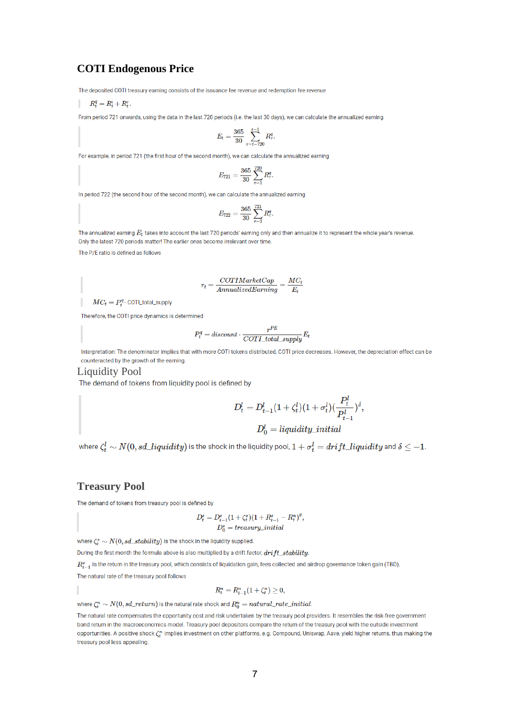#### **COTI Endogenous Price**

The deposited COTI treasury earning consists of the issuance fee revenue and redemption fee revenue

$$
R^q_t = R^i_t + R^r_t.
$$

From period 721 onwards, using the data in the last 720 periods (i.e. the last 30 days), we can calculate the annualized earning

$$
E_t = \frac{365}{30} \sum_{\tau = t-720}^{t-1} R_\tau^q.
$$

For example, in period 721 (the first hour of the second month), we can calculate the annualized earning

$$
E_{721}=\frac{365}{30}\sum_{\tau=1}^{720}R_{\tau}^q.
$$

In period 722 (the second hour of the second month), we can calculate the annualized earning

$$
E_{722}=\frac{365}{30}\sum_{\tau=2}^{721}R_\tau^q.
$$

The annualized earning  $E_t$  takes into account the last 720 periods' earning only and then annualize it to represent the whole year's revenue. Only the latest 720 periods matter! The earlier ones become irrelevant over time.

The P/E ratio is defined as follows

$$
r_t = \frac{COTIMarketCap}{AnnualizedEarning} = \frac{MC_t}{E_t}
$$

 $MC_t = P_t^q \cdot \text{COTL}$ total\_supply

Therefore, the COTI price dynamics is determined

$$
P_t^q = discount \cdot \frac{r^{PE}}{COTI\_total\_supply} E_t
$$

Interpretation: The denominator implies that with more COTI tokens distributed, COTI price decreases. However, the depreciation effect can be counteracted by the growth of the earning.

**Liquidity Pool** 

The demand of tokens from liquidity pool is defined by

$$
D_t^l = D_{t-1}^l (1 + \zeta_t^l)(1 + \sigma_t^l)(\frac{P_t^l}{P_{t-1}^l})^{\delta},
$$

$$
D_0^t = liquidity\_initial
$$

where  $\zeta^l_t \sim N(0,sd\_liquidity)$  is the shock in the liquidity pool,  $1+\sigma^l_t=drift\_liquidity$  and  $\delta \leq -1.$ 

#### **Treasury Pool**

The demand of tokens from treasury pool is defined by

$$
D_t^s = D_{t-1}^s (1 + \zeta_t^s)(1 + R_{t-1}^s - R_t^n)^{\theta},
$$
  

$$
D_0^s = treasury\_initial
$$

where  $\zeta^s_t \sim N(0,sd\_stability)$  is the shock in the liquidity supplied.

During the first month the formula above is also multiplied by a drift factor,  $drift\_stability$ .

 $R^s_{t-1}$  is the return in the treasury pool, which consists of liquidation gain, fees collected and airdrop governance token gain (TBD).

The natural rate of the treasury pool follows

$$
R_t^n=R_{t-1}^n(1+\zeta_t^n)\geq 0,
$$

where  $\zeta_t^n \sim N(0,sd\_return)$  is the natural rate shock and  $R_0^n = natural\_rate\_initial$ .

The natural rate compensates the opportunity cost and risk undertaken by the treasury pool providers. It resembles the risk-free government bond return in the macroeconomics model. Treasury pool depositors compare the return of the treasury pool with the outside investment opportunities. A positive shock  $\zeta_t^n$  implies investment on other platforms, e.g. Compound, Uniswap, Aave, yield higher returns, thus making the treasury pool less appealing.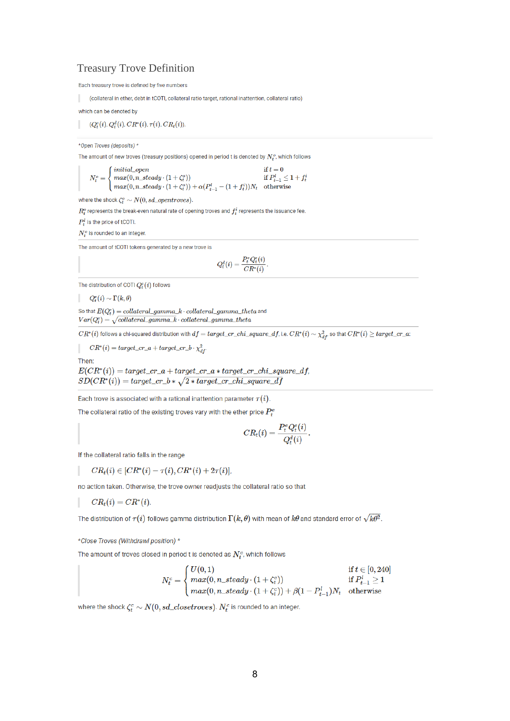#### **Treasury Trove Definition**

Each treasury trove is defined by five numbers

(collateral in ether, debt in tCOTI, collateral ratio target, rational inattention, collateral ratio)

which can be denoted by

 $(Q_t^e(i), Q_t^d(i), CR^*(i), \tau(i), CR_t(i)).$ 

\*Open Troves (deposits) \*

The amount of new troves (treasury positions) opened in period t is denoted by  $N_t^o$ , which follows

$$
N_t^o = \begin{cases} initial\_open & \text{if } t = 0\\ max(0, n\_steady \cdot (1 + \zeta_t^o)) & \text{if } P_{t-1}^l \le 1 + f_t\\ max(0, n\_steady \cdot (1 + \zeta_t^o)) + \alpha(P_{t-1}^l - (1 + f_t^i))N_t & \text{otherwise} \end{cases}
$$

where the shock  $\zeta_t^o \sim N(0, sd\_opentroves)$ .

 $R^o_t$  represents the break-even natural rate of opening troves and  $f_t^i$  represents the issuance fee.

 $P_t^l$  is the price of tCOTI.

 $N_t^o$  is rounded to an integer.

The amount of tCOTI tokens generated by a new trove is

$$
Q_t^d(i) = \frac{P_t^e Q_t^e(i)}{CR^*(i)}.
$$

The distribution of COTI  $Q_t^e(i)$  follows

 $Q_t^e(i) \sim \Gamma(k,\theta)$ 

So that  $E(Q_t^e) = collateral\_gamma_k \cdot collateral\_gamma\_lambda$  theta and  $Var(Q_t^e) = \sqrt{collateral\_gamma_k \cdot collateral\_gamma\_t}$ 

 $CR^*(i)$  follows a chi-squared distribution with  $df = target\_cr\_chi\_square\_df$ , i.e.  $CR^*(i) \sim \chi^2_{df}$ , so that  $CR^*(i) \geq target\_cr\_a$ :

 $CR^*(i) = target\_cr\_a + target\_cr\_b \cdot \chi^2_{df}$ 

Then:

 $E(CR^*(i)) = target\_cr_a + target\_cr_a * target\_cr_chi\_square\_df,$  $SD(CR^*(i)) = target\_cr_b * \sqrt{2 * target\_cr\_chi\_square\_df}$ 

Each trove is associated with a rational inattention parameter  $\tau(i)$ .

The collateral ratio of the existing troves vary with the ether price  $P_t^e$ 

$$
CR_t(i) = \frac{P_t^e Q_t^e(i)}{Q_t^d(i)}
$$

If the collateral ratio falls in the range

 $CR_t(i) \in [CR^*(i) - \tau(i), CR^*(i) + 2\tau(i)],$ 

no action taken. Otherwise, the trove owner readjusts the collateral ratio so that

 $CR_{t}(i) = CR^{*}(i)$ 

The distribution of  $\tau(i)$  follows gamma distribution  $\Gamma(k,\theta)$  with mean of  $k\theta$  and standard error of  $\sqrt{k\theta^2}$  .

\*Close Troves (Withdrawl position) \*

The amount of troves closed in period t is denoted as  $N_t^c$ , which follows

$$
N^c_t = \begin{cases} U(0,1) & \text{if } t \in [0,240] \\ max(0,n\_steady\cdot(1+\zeta^c_t)) & \text{if } P^l_{t-1} \geq 1 \\ max(0,n\_steady\cdot(1+\zeta^c_t)) + \beta(1-P^l_{t-1})N_t & \text{otherwise} \end{cases}
$$

where the shock  $\zeta_t^c \sim N(0,sd\_closetrows)$ .  $N_t^c$  is rounded to an integer.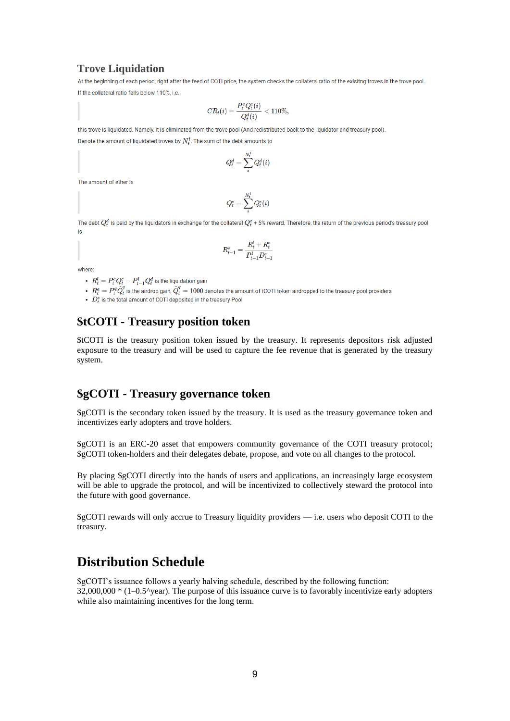#### **Trove Liquidation**

At the beginning of each period, right after the feed of COTI price, the system checks the collateral ratio of the exisitng troves in the trove pool. If the collateral ratio falls below 110%, i.e.

$$
CR_t(i) = \frac{P_t^e Q_t^e(i)}{Q_t^d(i)} < 110\%,
$$

this trove is liquidated. Namely, it is eliminated from the trove pool (And redistributed back to the liquidator and treasury pool).

Denote the amount of liquidated troves by  $N_t^l$ . The sum of the debt amounts to

$$
Q_t^d = \sum_i^{N_t^d} Q_t^d(i)
$$

The amount of ether is

$$
Q^e_t = \sum_i^{N^l_t} Q^e_t(i)
$$

The debt  $Q_t^d$  is paid by the liquidators in exchange for the collateral  $Q_t^e$  + 5% reward. Therefore, the return of the previous period's treasury pool is

$$
R^s_{t-1} = \frac{R^l_t + R^a_t}{P^l_{t-1}D^s_{t-1}}
$$

where

- $R_t^l = P_t^e Q_t^e P_{t-1}^l Q_t^d$  is the liquidation gain
- +  $R^a_t=P^q_t\hat{Q}^q_t$  is the airdrop gain,  $\hat{Q}^q_t=1000$  denotes the amount of tCOTI token airdropped to the treasury pool providers
- $\bullet$   $\overrightarrow{D_s^s}$  is the total amount of COTI deposited in the treasury Pool

### **\$tCOTI - Treasury position token**

\$tCOTI is the treasury position token issued by the treasury. It represents depositors risk adjusted exposure to the treasury and will be used to capture the fee revenue that is generated by the treasury system.

#### **\$gCOTI - Treasury governance token**

\$gCOTI is the secondary token issued by the treasury. It is used as the treasury governance token and incentivizes early adopters and trove holders.

\$gCOTI is an ERC-20 asset that empowers community governance of the COTI treasury protocol; \$gCOTI token-holders and their delegates debate, propose, and vote on all changes to the protocol.

By placing \$gCOTI directly into the hands of users and applications, an increasingly large ecosystem will be able to upgrade the protocol, and will be incentivized to collectively steward the protocol into the future with good governance.

\$gCOTI rewards will only accrue to Treasury liquidity providers — i.e. users who deposit COTI to the treasury.

### **Distribution Schedule**

\$gCOTI's issuance follows a yearly halving schedule, described by the following function:  $32,000,000 * (1-0.5^{\circ})$  The purpose of this issuance curve is to favorably incentivize early adopters while also maintaining incentives for the long term.